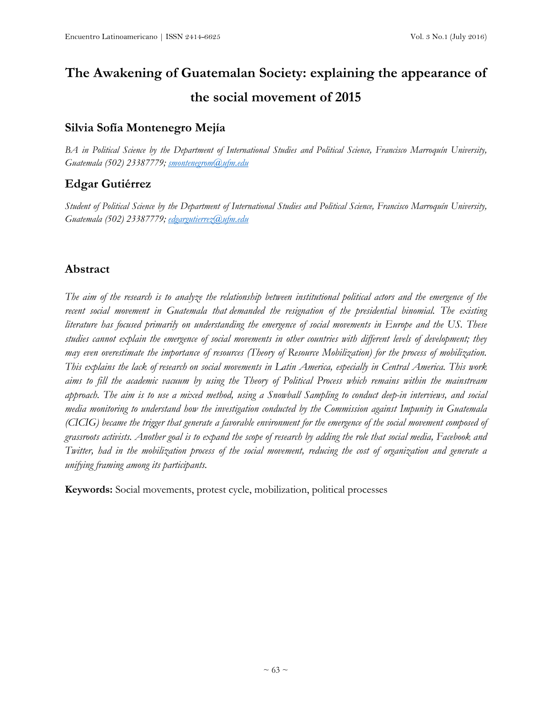# **The Awakening of Guatemalan Society: explaining the appearance of the social movement of 2015**

# **Silvia Sofía Montenegro Mejía**

BA in Political Science by the Department of International Studies and Political Science, Francisco Marroquín University, *Guatemala (502) 23387779; [smontenegrom@ufm.edu](mailto:smontenegrom@ufm.edu)*

# **Edgar Gutiérrez**

Student of Political Science by the Department of International Studies and Political Science, Francisco Marroquín University, *Guatemala (502) 23387779; [edgargutierrez@ufm.edu](mailto:edgargutierrez@ufm.edu)*

# **Abstract**

The aim of the research is to analyze the relationship between institutional political actors and the emergence of the *recent social movement in Guatemala that demanded the resignation of the presidential binomial. The existing* literature has focused primarily on understanding the emergence of social movements in Europe and the US. These studies cannot explain the emergence of social movements in other countries with different levels of development; they may even overestimate the importance of resources (Theory of Resource Mobilization) for the process of mobilization. This explains the lack of research on social movements in Latin America, especially in Central America. This work aims to fill the academic vacuum by using the Theory of Political Process which remains within the mainstream approach. The aim is to use a mixed method, using a Snowball Sampling to conduct deep-in interviews, and social *media monitoring to understand how the investigation conducted by the Commission against Impunity in Guatemala* (CICIG) became the trigger that generate a favorable environment for the emergence of the social movement composed of grassroots activists. Another goal is to expand the scope of research by adding the role that social media, Facebook and Twitter, had in the mobilization process of the social movement, reducing the cost of organization and generate a *unifying framing among its participants.*

**Keywords:** Social movements, protest cycle, mobilization, political processes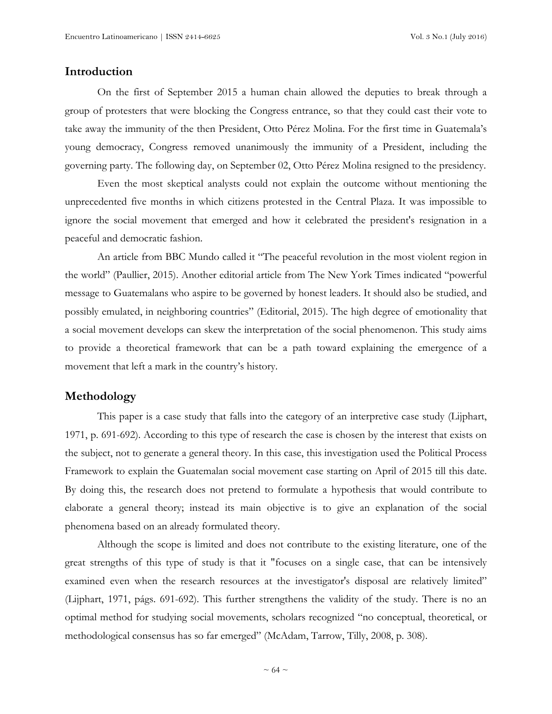## **Introduction**

On the first of September 2015 a human chain allowed the deputies to break through a group of protesters that were blocking the Congress entrance, so that they could cast their vote to take away the immunity of the then President, Otto Pérez Molina. For the first time in Guatemala's young democracy, Congress removed unanimously the immunity of a President, including the governing party. The following day, on September 02, Otto Pérez Molina resigned to the presidency.

Even the most skeptical analysts could not explain the outcome without mentioning the unprecedented five months in which citizens protested in the Central Plaza. It was impossible to ignore the social movement that emerged and how it celebrated the president's resignation in a peaceful and democratic fashion.

An article from BBC Mundo called it "The peaceful revolution in the most violent region in the world" (Paullier, 2015). Another editorial article from The New York Times indicated "powerful message to Guatemalans who aspire to be governed by honest leaders. It should also be studied, and possibly emulated, in [neighboring](http://www.nytimes.com/2015/06/13/world/americas/corruption-scandals-driving-protests-in-guatemala-and-honduras.html) countries" (Editorial, 2015). The high degree of emotionality that a social movement develops can skew the interpretation of the social phenomenon. This study aims to provide a theoretical framework that can be a path toward explaining the emergence of a movement that left a mark in the country's history.

## **Methodology**

This paper is a case study that falls into the category of an interpretive case study (Lijphart, 1971, p. 691-692). According to this type of research the case is chosen by the interest that exists on the subject, not to generate a general theory. In this case, this investigation used the Political Process Framework to explain the Guatemalan social movement case starting on April of 2015 till this date. By doing this, the research does not pretend to formulate a hypothesis that would contribute to elaborate a general theory; instead its main objective is to give an explanation of the social phenomena based on an already formulated theory.

Although the scope is limited and does not contribute to the existing literature, one of the great strengths of this type of study is that it "focuses on a single case, that can be intensively examined even when the research resources at the investigator's disposal are relatively limited" (Lijphart, 1971, págs. 691-692). This further strengthens the validity of the study. There is no an optimal method for studying social movements, scholars recognized "no conceptual, theoretical, or methodological consensus has so far emerged" (McAdam, Tarrow, Tilly, 2008, p. 308).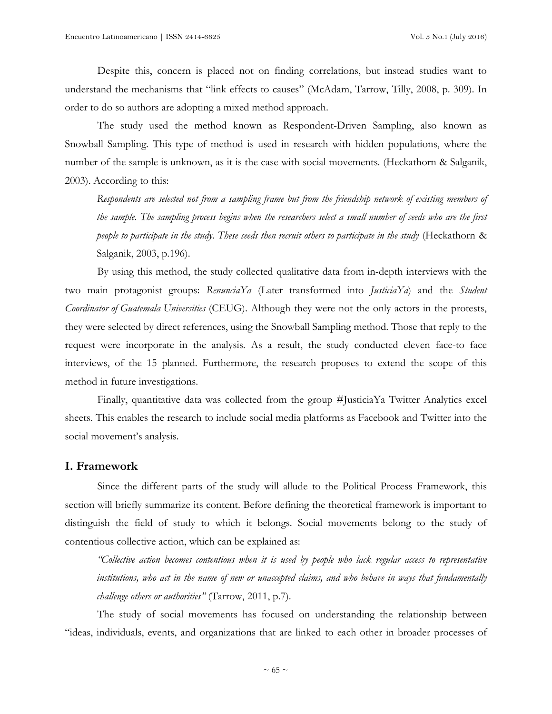Despite this, concern is placed not on finding correlations, but instead studies want to understand the mechanisms that "link effects to causes" (McAdam, Tarrow, Tilly, 2008, p. 309). In order to do so authors are adopting a mixed method approach.

The study used the method known as Respondent-Driven Sampling, also known as Snowball Sampling. This type of method is used in research with hidden populations, where the number of the sample is unknown, as it is the case with social movements. (Heckathorn & Salganik, 2003). According to this:

*Respondents are selected not from a sampling frame but from the friendship network of existing members of* the sample. The sampling process begins when the researchers select a small number of seeds who are the first *people to participate in the study. These seeds then recruit others to participate in the study* (Heckathorn & Salganik, 2003, p.196).

By using this method, the study collected qualitative data from in-depth interviews with the two main protagonist groups: *RenunciaYa* (Later transformed into *JusticiaYa*) and the *Student Coordinator of Guatemala Universities* (CEUG). Although they were not the only actors in the protests, they were selected by direct references, using the Snowball Sampling method. Those that reply to the request were incorporate in the analysis. As a result, the study conducted eleven face-to face interviews, of the 15 planned. Furthermore, the research proposes to extend the scope of this method in future investigations.

Finally, quantitative data was collected from the group #JusticiaYa Twitter Analytics excel sheets. This enables the research to include social media platforms as Facebook and Twitter into the social movement's analysis.

## **I. Framework**

Since the different parts of the study will allude to the Political Process Framework, this section will briefly summarize its content. Before defining the theoretical framework is important to distinguish the field of study to which it belongs. Social movements belong to the study of contentious collective action, which can be explained as:

*"Collective action becomes contentious when it is used by people who lack regular access to representative* institutions, who act in the name of new or unaccepted claims, and who behave in ways that fundamentally *challenge others or authorities"* (Tarrow, 2011, p.7).

The study of social movements has focused on understanding the relationship between "ideas, individuals, events, and organizations that are linked to each other in broader processes of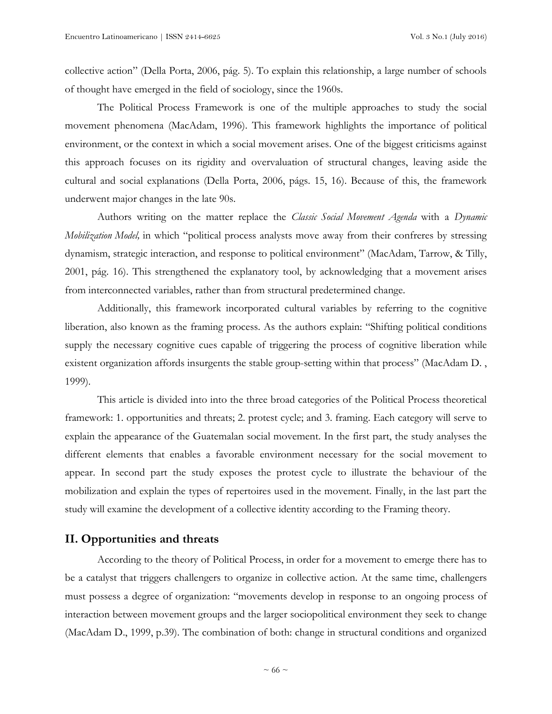collective action" (Della Porta, 2006, pág. 5). To explain this relationship, a large number of schools of thought have emerged in the field of sociology, since the 1960s.

The Political Process Framework is one of the multiple approaches to study the social movement phenomena (MacAdam, 1996). This framework highlights the importance of political environment, or the context in which a social movement arises. One of the biggest criticisms against this approach focuses on its rigidity and overvaluation of structural changes, leaving aside the cultural and social explanations (Della Porta, 2006, págs. 15, 16). Because of this, the framework underwent major changes in the late 90s.

Authors writing on the matter replace the *Classic Social Movement Agenda* with a *Dynamic Mobilization Model,* in which "political process analysts move away from their confreres by stressing dynamism, strategic interaction, and response to political environment" (MacAdam, Tarrow, & Tilly, 2001, pág. 16). This strengthened the explanatory tool, by acknowledging that a movement arises from interconnected variables, rather than from structural predetermined change.

Additionally, this framework incorporated cultural variables by referring to the cognitive liberation, also known as the framing process. As the authors explain: "Shifting political conditions supply the necessary cognitive cues capable of triggering the process of cognitive liberation while existent organization affords insurgents the stable group-setting within that process" (MacAdam D. , 1999).

This article is divided into into the three broad categories of the Political Process theoretical framework: 1. opportunities and threats; 2. protest cycle; and 3. framing. Each category will serve to explain the appearance of the Guatemalan social movement. In the first part, the study analyses the different elements that enables a favorable environment necessary for the social movement to appear. In second part the study exposes the protest cycle to illustrate the behaviour of the mobilization and explain the types of repertoires used in the movement. Finally, in the last part the study will examine the development of a collective identity according to the Framing theory.

## **II. Opportunities and threats**

According to the theory of Political Process, in order for a movement to emerge there has to be a catalyst that triggers challengers to organize in collective action. At the same time, challengers must possess a degree of organization: "movements develop in response to an ongoing process of interaction between movement groups and the larger sociopolitical environment they seek to change (MacAdam D., 1999, p.39). The combination of both: change in structural conditions and organized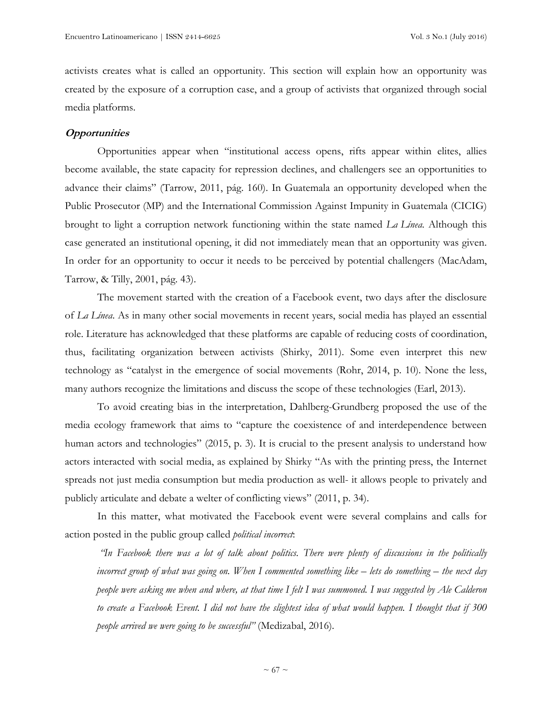activists creates what is called an opportunity. This section will explain how an opportunity was created by the exposure of a corruption case, and a group of activists that organized through social media platforms.

### **Opportunities**

Opportunities appear when "institutional access opens, rifts appear within elites, allies become available, the state capacity for repression declines, and challengers see an opportunities to advance their claims" (Tarrow, 2011, pág. 160). In Guatemala an opportunity developed when the Public Prosecutor (MP) and the International Commission Against Impunity in Guatemala (CICIG) brought to light a corruption network functioning within the state named *La Línea.* Although this case generated an institutional opening, it did not immediately mean that an opportunity was given. In order for an opportunity to occur it needs to be perceived by potential challengers (MacAdam, Tarrow, & Tilly, 2001, pág. 43).

The movement started with the creation of a Facebook event, two days after the disclosure of *La Línea*. As in many other social movements in recent years, social media has played an essential role. Literature has acknowledged that these platforms are capable of reducing costs of coordination, thus, facilitating organization between activists (Shirky, 2011). Some even interpret this new technology as "catalyst in the emergence of social movements (Rohr, 2014, p. 10). None the less, many authors recognize the limitations and discuss the scope of these technologies (Earl, 2013).

To avoid creating bias in the interpretation, Dahlberg-Grundberg proposed the use of the media ecology framework that aims to "capture the coexistence of and interdependence between human actors and technologies" (2015, p. 3). It is crucial to the present analysis to understand how actors interacted with social media, as explained by Shirky "As with the printing press, the Internet spreads not just media consumption but media production as well- it allows people to privately and publicly articulate and debate a welter of conflicting views" (2011, p. 34).

In this matter, what motivated the Facebook event were several complains and calls for action posted in the public group called *political incorrect*:

'In Facebook there was a lot of talk about politics. There were plenty of discussions in the politically incorrect group of what was going on. When I commented something like – lets do something – the next day people were asking me when and where, at that time I felt I was summoned. I was suggested by Ale Calderon to create a Facebook Event. I did not have the slightest idea of what would happen. I thought that if 300 *people arrived we were going to be successful"* (Medizabal, 2016)*.*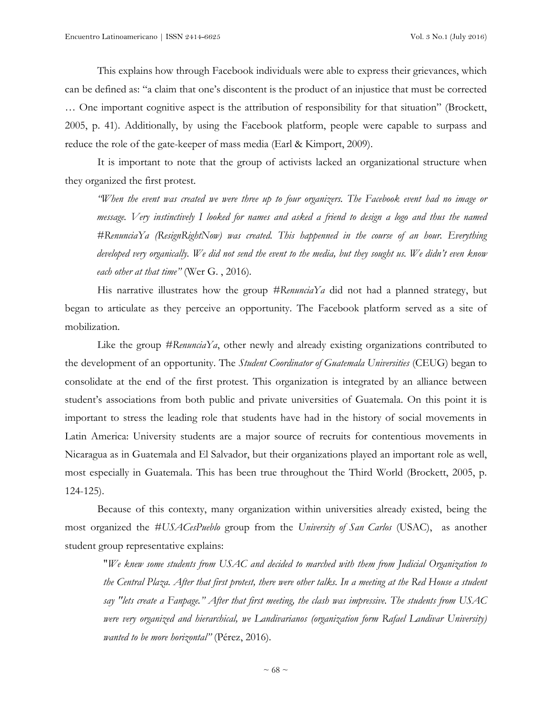This explains how through Facebook individuals were able to express their grievances, which can be defined as: "a claim that one's discontent is the product of an injustice that must be corrected … One important cognitive aspect is the attribution of responsibility for that situation" (Brockett, 2005, p. 41). Additionally, by using the Facebook platform, people were capable to surpass and reduce the role of the gate-keeper of mass media (Earl & Kimport, 2009).

It is important to note that the group of activists lacked an organizational structure when they organized the first protest.

"When the event was created we were three up to four organizers. The Facebook event had no image or message. Very instinctively I looked for names and asked a friend to design a logo and thus the named *#RenunciaYa (ResignRightNow) was created. This happenned in the course of an hour. Everything* developed very organically. We did not send the event to the media, but they sought us. We didn't even know *each other at that time"* (Wer G. , 2016)*.*

His narrative illustrates how the group *#RenunciaYa* did not had a planned strategy, but began to articulate as they perceive an opportunity. The Facebook platform served as a site of mobilization.

Like the group *#RenunciaYa*, other newly and already existing organizations contributed to the development of an opportunity. The *Student Coordinator of Guatemala Universities* (CEUG) began to consolidate at the end of the first protest. This organization is integrated by an alliance between student's associations from both public and private universities of Guatemala. On this point it is important to stress the leading role that students have had in the history of social movements in Latin America: University students are a major source of recruits for contentious movements in Nicaragua as in Guatemala and El Salvador, but their organizations played an important role as well, most especially in Guatemala. This has been true throughout the Third World (Brockett, 2005, p. 124-125).

Because of this contexty, many organization within universities already existed, being the most organized the *#USACesPueblo* group from the *University of San Carlos* (USAC), as another student group representative explains:

"*We knew some students from USAC and decided to marched with them from Judicial Organization to* the Central Plaza. After that first protest, there were other talks. In a meeting at the Red House a student *say "lets create a Fanpage." After that first meeting, the clash was impressive. The students from USAC were very organized and hierarchical, we Landivarianos (organization form Rafael Landivar University) wanted to be more horizontal"* (Pérez, 2016)*.*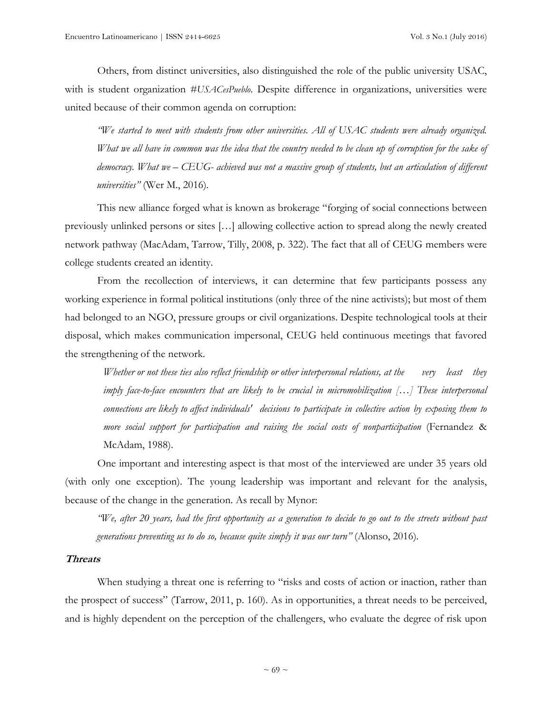Others, from distinct universities, also distinguished the role of the public university USAC, with is student organization *#USACesPueblo*. Despite difference in organizations, universities were united because of their common agenda on corruption:

*"We started to meet with students from other universities. All of USAC students were already organized.* What we all have in common was the idea that the country needed to be clean up of corruption for the sake of democracy. What we – CEUG- achieved was not a massive group of students, but an articulation of different *universities"* (Wer M., 2016)*.*

This new alliance forged what is known as brokerage "forging of social connections between previously unlinked persons or sites […] allowing collective action to spread along the newly created network pathway (MacAdam, Tarrow, Tilly, 2008, p. 322). The fact that all of CEUG members were college students created an identity.

From the recollection of interviews, it can determine that few participants possess any working experience in formal political institutions (only three of the nine activists); but most of them had belonged to an NGO, pressure groups or civil organizations. Despite technological tools at their disposal, which makes communication impersonal, CEUG held continuous meetings that favored the strengthening of the network.

Whether or not these ties also reflect friendship or other interpersonal relations, at the very least they *imply face-to-face encounters that are likely to be crucial in micromobilization […] These interpersonal connections are likely to affect individuals' decisions to participate in collective action by exposing them to more social support for participation and raising the social costs of nonparticipation* (Fernandez & McAdam, 1988).

One important and interesting aspect is that most of the interviewed are under 35 years old (with only one exception). The young leadership was important and relevant for the analysis, because of the change in the generation. As recall by Mynor:

"We, after 20 years, had the first opportunity as a generation to decide to go out to the streets without past *generations preventing us to do so, because quite simply it was our turn"* (Alonso, 2016)*.*

#### **Threats**

When studying a threat one is referring to "risks and costs of action or inaction, rather than the prospect of success" (Tarrow, 2011, p. 160). As in opportunities, a threat needs to be perceived, and is highly dependent on the perception of the challengers, who evaluate the degree of risk upon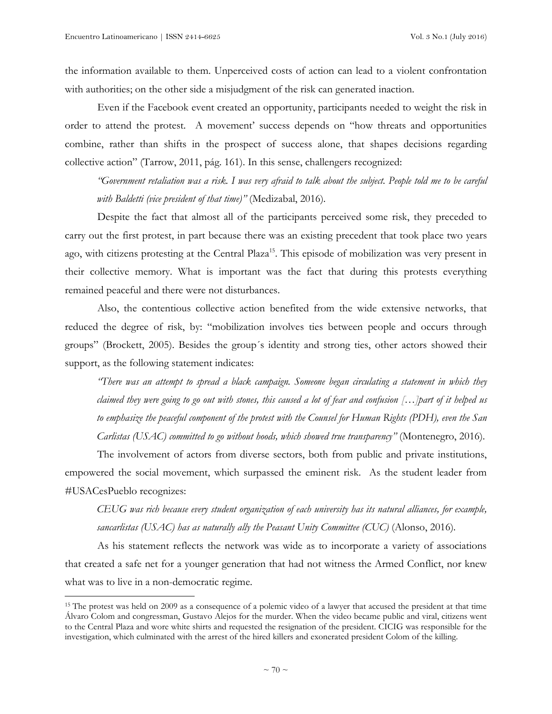$\overline{a}$ 

the information available to them. Unperceived costs of action can lead to a violent confrontation with authorities; on the other side a misjudgment of the risk can generated inaction.

Even if the Facebook event created an opportunity, participants needed to weight the risk in order to attend the protest. A movement' success depends on "how threats and opportunities combine, rather than shifts in the prospect of success alone, that shapes decisions regarding collective action" (Tarrow, 2011, pág. 161). In this sense, challengers recognized:

"Government retaliation was a risk. I was very afraid to talk about the subject. People told me to be careful *with Baldetti (vice president of that time)"* (Medizabal, 2016)*.*

Despite the fact that almost all of the participants perceived some risk, they preceded to carry out the first protest, in part because there was an existing precedent that took place two years ago, with citizens protesting at the Central Plaza<sup>15</sup>. This episode of mobilization was very present in their collective memory. What is important was the fact that during this protests everything remained peaceful and there were not disturbances.

Also, the contentious collective action benefited from the wide extensive networks, that reduced the degree of risk, by: "mobilization involves ties between people and occurs through groups" (Brockett, 2005). Besides the group´s identity and strong ties, other actors showed their support, as the following statement indicates:

*"There was an attempt to spread a black campaign. Someone began circulating a statement in which they* claimed they were going to go out with stones, this caused a lot of fear and confusion [...] part of it helped us to emphasize the peaceful component of the protest with the Counsel for Human Rights (PDH), even the San *Carlistas (USAC) committed to go without hoods, which showed true transparency"* (Montenegro, 2016)*.*

The involvement of actors from diverse sectors, both from public and private institutions, empowered the social movement, which surpassed the eminent risk. As the student leader from #USACesPueblo recognizes:

*CEUG was rich because every student organization of each university has its natural alliances, for example, sancarlistas (USAC) has as naturally ally the Peasant Unity Committee (CUC)* (Alonso, 2016)*.*

As his statement reflects the network was wide as to incorporate a variety of associations that created a safe net for a younger generation that had not witness the Armed Conflict, nor knew what was to live in a non-democratic regime.

<sup>&</sup>lt;sup>15</sup> The protest was held on 2009 as a consequence of a polemic video of a lawyer that accused the president at that time Álvaro Colom and congressman, Gustavo Alejos for the murder. When the video became public and viral, citizens went to the Central Plaza and wore white shirts and requested the resignation of the president. CICIG was responsible for the investigation, which culminated with the arrest of the hired killers and exonerated president Colom of the killing.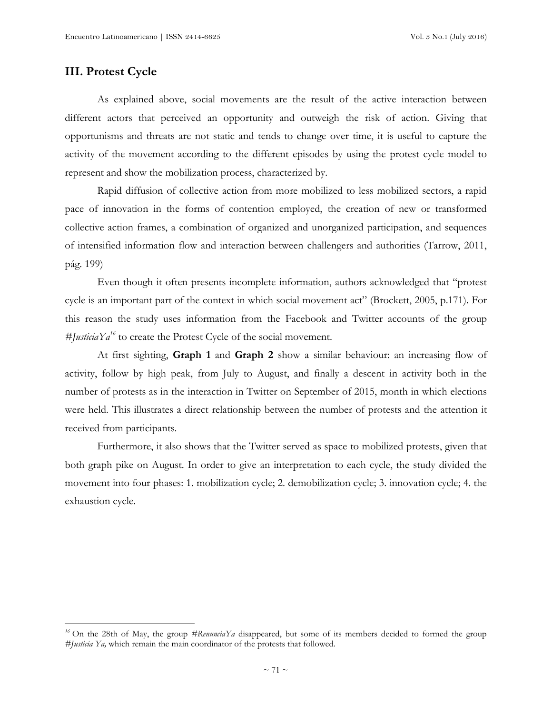# **III. Protest Cycle**

 $\overline{a}$ 

As explained above, social movements are the result of the active interaction between different actors that perceived an opportunity and outweigh the risk of action. Giving that opportunisms and threats are not static and tends to change over time, it is useful to capture the activity of the movement according to the different episodes by using the protest cycle model to represent and show the mobilization process, characterized by.

Rapid diffusion of collective action from more mobilized to less mobilized sectors, a rapid pace of innovation in the forms of contention employed, the creation of new or transformed collective action frames, a combination of organized and unorganized participation, and sequences of intensified information flow and interaction between challengers and authorities (Tarrow, 2011, pág. 199)

Even though it often presents incomplete information, authors acknowledged that "protest cycle is an important part of the context in which social movement act" (Brockett, 2005, p.171). For this reason the study uses information from the Facebook and Twitter accounts of the group  $#$ *[usticiaYa<sup>16</sup>* to create the Protest Cycle of the social movement.

At first sighting, **Graph 1** and **Graph 2** show a similar behaviour: an increasing flow of activity, follow by high peak, from July to August, and finally a descent in activity both in the number of protests as in the interaction in Twitter on September of 2015, month in which elections were held. This illustrates a direct relationship between the number of protests and the attention it received from participants.

Furthermore, it also shows that the Twitter served as space to mobilized protests, given that both graph pike on August. In order to give an interpretation to each cycle, the study divided the movement into four phases: 1. mobilization cycle; 2. demobilization cycle; 3. innovation cycle; 4. the exhaustion cycle.

*<sup>16</sup>* On the 28th of May, the group *#RenunciaYa* disappeared, but some of its members decided to formed the group *#Justicia Ya,* which remain the main coordinator of the protests that followed.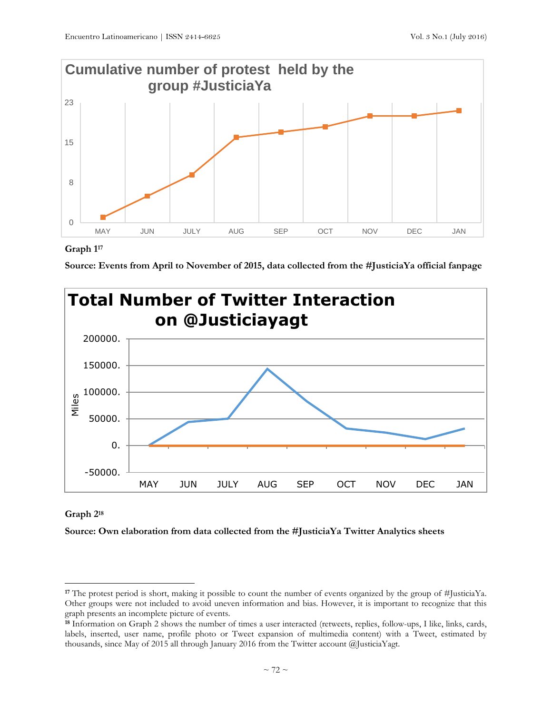

## **Graph 1 17**





## **Graph 2<sup>18</sup>**

 $\overline{a}$ 

**Source: Own elaboration from data collected from the #JusticiaYa Twitter Analytics sheets**

**<sup>17</sup>** The protest period is short, making it possible to count the number of events organized by the group of #JusticiaYa. Other groups were not included to avoid uneven information and bias. However, it is important to recognize that this graph presents an incomplete picture of events.

**<sup>18</sup>** Information on Graph 2 shows the number of times a user interacted (retweets, replies, follow-ups, I like, links, cards, labels, inserted, user name, profile photo or Tweet expansion of multimedia content) with a Tweet, estimated by thousands, since May of 2015 all through January 2016 from the Twitter account @JusticiaYagt.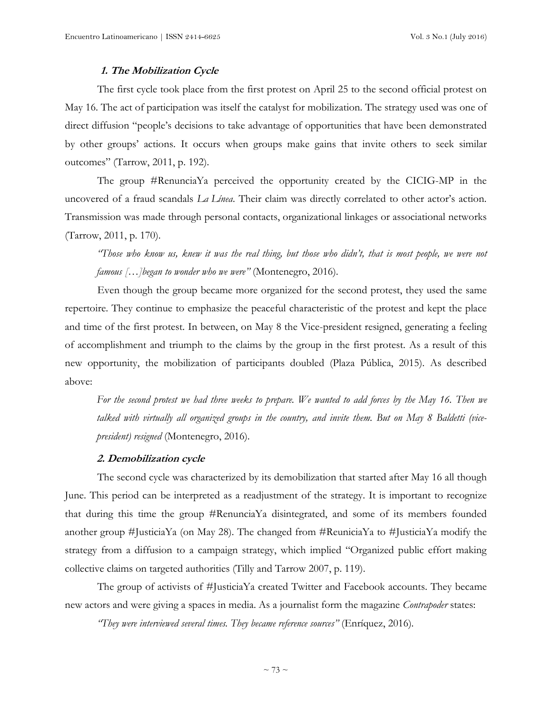### **1. The Mobilization Cycle**

The first cycle took place from the first protest on April 25 to the second official protest on May 16. The act of participation was itself the catalyst for mobilization. The strategy used was one of direct diffusion "people's decisions to take advantage of opportunities that have been demonstrated by other groups' actions. It occurs when groups make gains that invite others to seek similar outcomes" (Tarrow, 2011, p. 192).

The group #RenunciaYa perceived the opportunity created by the CICIG-MP in the uncovered of a fraud scandals *La Línea*. Their claim was directly correlated to other actor's action. Transmission was made through personal contacts, organizational linkages or associational networks (Tarrow, 2011, p. 170).

"Those who know us, knew it was the real thing, but those who didn't, that is most people, we were not *famous […]began to wonder who we were"* (Montenegro, 2016)*.*

Even though the group became more organized for the second protest, they used the same repertoire. They continue to emphasize the peaceful characteristic of the protest and kept the place and time of the first protest. In between, on May 8 the Vice-president resigned, generating a feeling of accomplishment and triumph to the claims by the group in the first protest. As a result of this new opportunity, the mobilization of participants doubled (Plaza Pública, 2015). As described above:

For the second protest we had three weeks to prepare. We wanted to add forces by the May 16. Then we talked with virtually all organized groups in the country, and invite them. But on May 8 Baldetti (vice*president) resigned* (Montenegro, 2016)*.*

#### **2. Demobilization cycle**

The second cycle was characterized by its demobilization that started after May 16 all though June. This period can be interpreted as a readjustment of the strategy. It is important to recognize that during this time the group #RenunciaYa disintegrated, and some of its members founded another group #JusticiaYa (on May 28). The changed from #ReuniciaYa to #JusticiaYa modify the strategy from a diffusion to a campaign strategy, which implied "Organized public effort making collective claims on targeted authorities (Tilly and Tarrow 2007, p. 119).

The group of activists of #JusticiaYa created Twitter and Facebook accounts. They became new actors and were giving a spaces in media. As a journalist form the magazine *Contrapoder* states:

*"They were interviewed several times. They became reference sources"* (Enríquez, 2016)*.*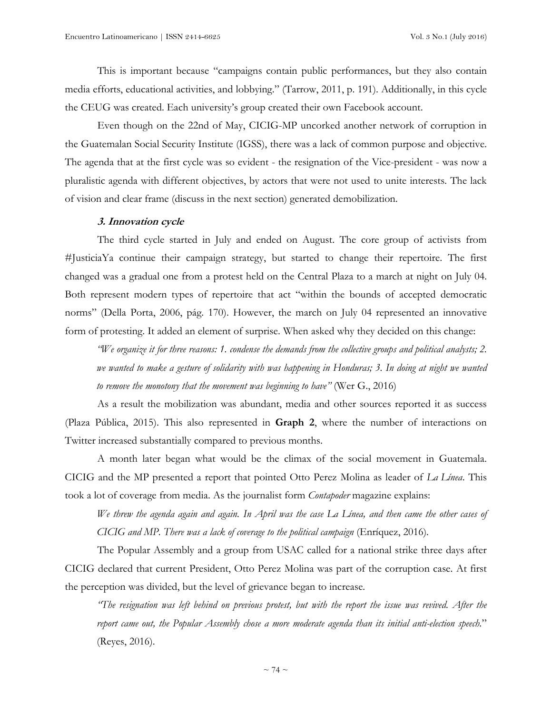This is important because "campaigns contain public performances, but they also contain media efforts, educational activities, and lobbying." (Tarrow, 2011, p. 191). Additionally, in this cycle the CEUG was created. Each university's group created their own Facebook account.

Even though on the 22nd of May, CICIG-MP uncorked another network of corruption in the Guatemalan Social Security Institute (IGSS), there was a lack of common purpose and objective. The agenda that at the first cycle was so evident - the resignation of the Vice-president - was now a pluralistic agenda with different objectives, by actors that were not used to unite interests. The lack of vision and clear frame (discuss in the next section) generated demobilization.

#### **3. Innovation cycle**

The third cycle started in July and ended on August. The core group of activists from #JusticiaYa continue their campaign strategy, but started to change their repertoire. The first changed was a gradual one from a protest held on the Central Plaza to a march at night on July 04. Both represent modern types of repertoire that act "within the bounds of accepted democratic norms" (Della Porta, 2006, pág. 170). However, the march on July 04 represented an innovative form of protesting. It added an element of surprise. When asked why they decided on this change:

"We organize it for three reasons: 1. condense the demands from the collective groups and political analysts; 2. we wanted to make a gesture of solidarity with was happening in Honduras; 3. In doing at night we wanted *to remove the monotony that the movement was beginning to have"* (Wer G., 2016)

As a result the mobilization was abundant, media and other sources reported it as success (Plaza Pública, 2015). This also represented in **Graph 2**, where the number of interactions on Twitter increased substantially compared to previous months.

A month later began what would be the climax of the social movement in Guatemala. CICIG and the MP presented a report that pointed Otto Perez Molina as leader of *La Línea*. This took a lot of coverage from media. As the journalist form *Contapoder* magazine explains:

We threw the agenda again and again. In April was the case La Línea, and then came the other cases of *CICIG and MP. There was a lack of coverage to the political campaign* (Enríquez, 2016)*.*

The Popular Assembly and a group from USAC called for a national strike three days after CICIG declared that current President, Otto Perez Molina was part of the corruption case. At first the perception was divided, but the level of grievance began to increase*.*

"The resignation was left behind on previous protest, but with the report the issue was revived. After the *report came out, the Popular Assembly chose a more moderate agenda than its initial anti-election speech.*" (Reyes, 2016).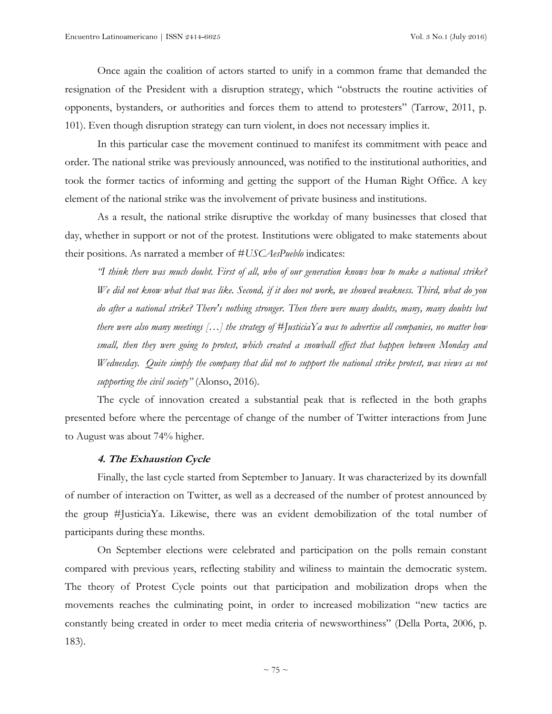Once again the coalition of actors started to unify in a common frame that demanded the resignation of the President with a disruption strategy, which "obstructs the routine activities of opponents, bystanders, or authorities and forces them to attend to protesters" (Tarrow, 2011, p. 101). Even though disruption strategy can turn violent, in does not necessary implies it.

In this particular case the movement continued to manifest its commitment with peace and order. The national strike was previously announced, was notified to the institutional authorities, and took the former tactics of informing and getting the support of the Human Right Office. A key element of the national strike was the involvement of private business and institutions.

As a result, the national strike disruptive the workday of many businesses that closed that day, whether in support or not of the protest. Institutions were obligated to make statements about their positions. As narrated a member of #*USCAesPueblo* indicates:

"I think there was much doubt. First of all, who of our generation knows how to make a national strike? We did not know what that was like. Second, if it does not work, we showed weakness. Third, what do you *do after a national strike? There's nothing stronger. Then there were many doubts, many, many doubts but* there were also many meetings [...] the strategy of #JusticiaYa was to advertise all companies, no matter how *small, then they were going to protest, which created a snowball effect that happen between Monday and Wednesday. Quite simply the company that did not to support the national strike protest, was views as not supporting the civil society"* (Alonso, 2016)*.*

The cycle of innovation created a substantial peak that is reflected in the both graphs presented before where the percentage of change of the number of Twitter interactions from June to August was about 74% higher.

#### **4. The Exhaustion Cycle**

Finally, the last cycle started from September to January. It was characterized by its downfall of number of interaction on Twitter, as well as a decreased of the number of protest announced by the group #JusticiaYa. Likewise, there was an evident demobilization of the total number of participants during these months.

On September elections were celebrated and participation on the polls remain constant compared with previous years, reflecting stability and wiliness to maintain the democratic system. The theory of Protest Cycle points out that participation and mobilization drops when the movements reaches the culminating point, in order to increased mobilization "new tactics are constantly being created in order to meet media criteria of newsworthiness" (Della Porta, 2006, p. 183).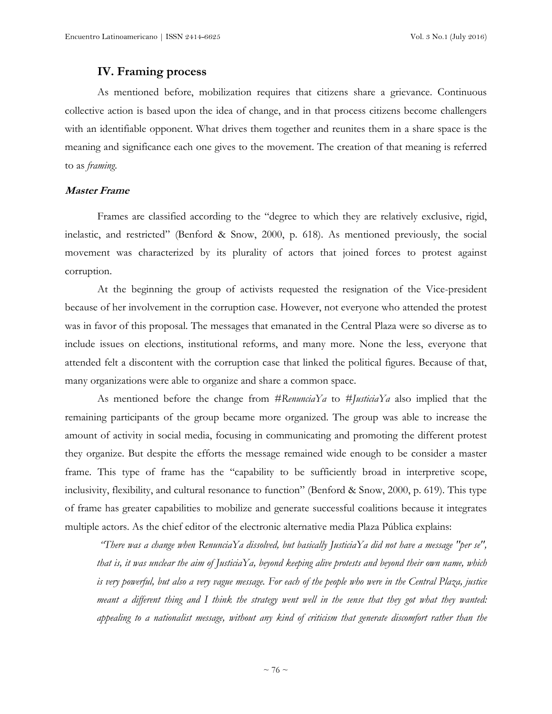## **IV. Framing process**

As mentioned before, mobilization requires that citizens share a grievance. Continuous collective action is based upon the idea of change, and in that process citizens become challengers with an identifiable opponent. What drives them together and reunites them in a share space is the meaning and significance each one gives to the movement. The creation of that meaning is referred to as *framing*.

### **Master Frame**

Frames are classified according to the "degree to which they are relatively exclusive, rigid, inelastic, and restricted" (Benford & Snow, 2000, p. 618). As mentioned previously, the social movement was characterized by its plurality of actors that joined forces to protest against corruption.

At the beginning the group of activists requested the resignation of the Vice-president because of her involvement in the corruption case. However, not everyone who attended the protest was in favor of this proposal. The messages that emanated in the Central Plaza were so diverse as to include issues on elections, institutional reforms, and many more. None the less, everyone that attended felt a discontent with the corruption case that linked the political figures. Because of that, many organizations were able to organize and share a common space.

As mentioned before the change from *#RenunciaYa* to *#JusticiaYa* also implied that the remaining participants of the group became more organized. The group was able to increase the amount of activity in social media, focusing in communicating and promoting the different protest they organize. But despite the efforts the message remained wide enough to be consider a master frame. This type of frame has the "capability to be sufficiently broad in interpretive scope, inclusivity, flexibility, and cultural resonance to function" (Benford & Snow, 2000, p. 619). This type of frame has greater capabilities to mobilize and generate successful coalitions because it integrates multiple actors. As the chief editor of the electronic alternative media Plaza Pública explains:

*"There was a change when RenunciaYa dissolved, but basically JusticiaYa did not have a message "per se",* that is, it was unclear the aim of JusticiaYa, beyond keeping alive protests and beyond their own name, which is very powerful, but also a very vague message. For each of the people who were in the Central Plaza, justice meant a different thing and I think the strategy went well in the sense that they got what they wanted: *appealing to a nationalist message, without any kind of criticism that generate discomfort rather than the*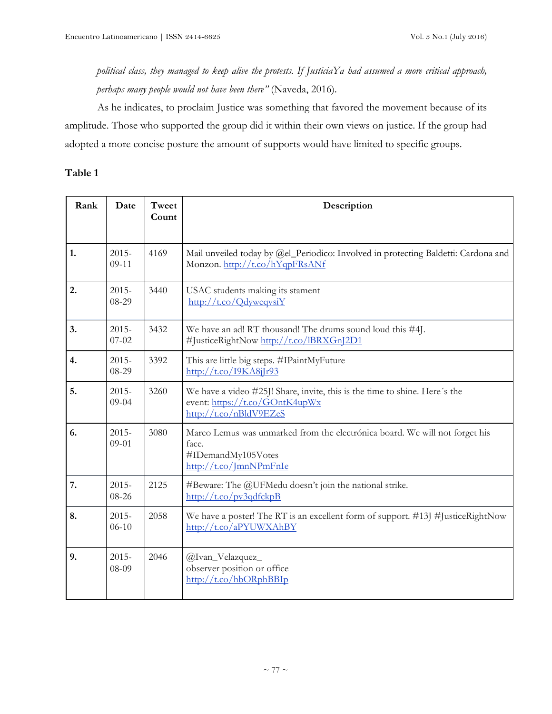# political class, they managed to keep alive the protests. If JusticiaYa had assumed a more critical approach, *perhaps many people would not have been there"* (Naveda, 2016)*.*

As he indicates, to proclaim Justice was something that favored the movement because of its amplitude. Those who supported the group did it within their own views on justice. If the group had adopted a more concise posture the amount of supports would have limited to specific groups.

## **Table 1**

| Rank | Date                  | Tweet<br>Count | Description                                                                                                                                    |
|------|-----------------------|----------------|------------------------------------------------------------------------------------------------------------------------------------------------|
| 1.   | $2015 -$<br>$09-11$   | 4169           | Mail unveiled today by @el_Periodico: Involved in protecting Baldetti: Cardona and<br>Monzon. http://t.co/hYqpFRsANf                           |
| 2.   | $2015 -$<br>08-29     | 3440           | USAC students making its stament<br>$\frac{http://t.co/QdvwegvsiY}{http://t.co/QdvwegvsiY}$                                                    |
| 3.   | $2015 -$<br>$07 - 02$ | 3432           | We have an ad! RT thousand! The drums sound loud this #4J.<br>#JusticeRightNow http://t.co/lBRXGnJ2D1                                          |
| 4.   | $2015 -$<br>08-29     | 3392           | This are little big steps. #IPaintMyFuture<br>$\frac{http://t.co/19KA8j[r93]}{$                                                                |
| 5.   | $2015 -$<br>$09 - 04$ | 3260           | We have a video #25J! Share, invite, this is the time to shine. Here's the<br>event: https://t.co/GOntK4upWx<br>http://t.co/nBldV9EZeS         |
| 6.   | $2015 -$<br>$09 - 01$ | 3080           | Marco Lemus was unmarked from the electrónica board. We will not forget his<br>face.<br>#IDemandMy105Votes<br>$\frac{http://t.co/ mnNPmFnIe}{$ |
| 7.   | $2015 -$<br>08-26     | 2125           | #Beware: The @UFMedu doesn't join the national strike.<br>$\frac{http://t.co/pv3qdfckpB}{$                                                     |
| 8.   | $2015 -$<br>$06-10$   | 2058           | We have a poster! The RT is an excellent form of support. #13J #JusticeRightNow<br>http://t.co/aPYUWXAhBY                                      |
| 9.   | $2015 -$<br>08-09     | 2046           | @Ivan_Velazquez_<br>observer position or office<br>$\frac{http://t.co/hbORphBBIp}{$                                                            |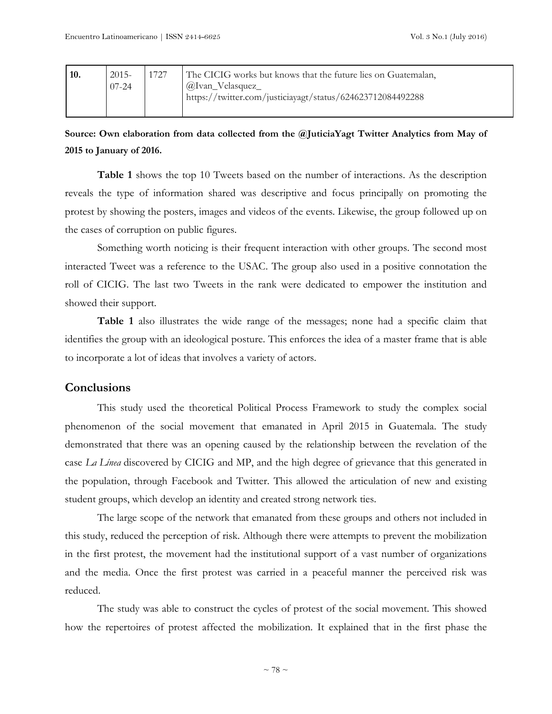| 10. | $2015-$   | 1727 | The CICIG works but knows that the future lies on Guatemalan, |
|-----|-----------|------|---------------------------------------------------------------|
|     | $07 - 24$ |      | <i>(a)</i> Ivan_Velasquez_                                    |
|     |           |      | https://twitter.com/justiciayagt/status/624623712084492288    |
|     |           |      |                                                               |

**Source: Own elaboration from data collected from the @JuticiaYagt Twitter Analytics from May of 2015 to January of 2016.**

**Table 1** shows the top 10 Tweets based on the number of interactions. As the description reveals the type of information shared was descriptive and focus principally on promoting the protest by showing the posters, images and videos of the events. Likewise, the group followed up on the cases of corruption on public figures.

Something worth noticing is their frequent interaction with other groups. The second most interacted Tweet was a reference to the USAC. The group also used in a positive connotation the roll of CICIG. The last two Tweets in the rank were dedicated to empower the institution and showed their support.

**Table 1** also illustrates the wide range of the messages; none had a specific claim that identifies the group with an ideological posture. This enforces the idea of a master frame that is able to incorporate a lot of ideas that involves a variety of actors.

## **Conclusions**

This study used the theoretical Political Process Framework to study the complex social phenomenon of the social movement that emanated in April 2015 in Guatemala. The study demonstrated that there was an opening caused by the relationship between the revelation of the case *La Línea* discovered by CICIG and MP, and the high degree of grievance that this generated in the population, through Facebook and Twitter. This allowed the articulation of new and existing student groups, which develop an identity and created strong network ties.

The large scope of the network that emanated from these groups and others not included in this study, reduced the perception of risk. Although there were attempts to prevent the mobilization in the first protest, the movement had the institutional support of a vast number of organizations and the media. Once the first protest was carried in a peaceful manner the perceived risk was reduced.

The study was able to construct the cycles of protest of the social movement. This showed how the repertoires of protest affected the mobilization. It explained that in the first phase the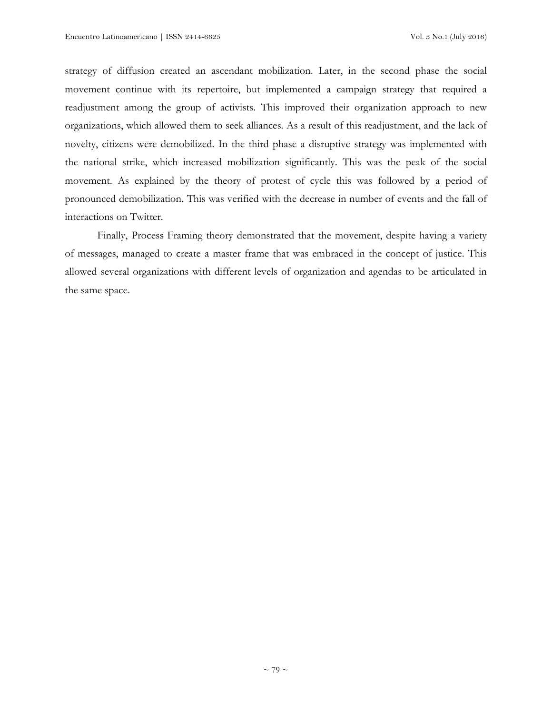strategy of diffusion created an ascendant mobilization. Later, in the second phase the social movement continue with its repertoire, but implemented a campaign strategy that required a readjustment among the group of activists. This improved their organization approach to new organizations, which allowed them to seek alliances. As a result of this readjustment, and the lack of novelty, citizens were demobilized. In the third phase a disruptive strategy was implemented with the national strike, which increased mobilization significantly. This was the peak of the social movement. As explained by the theory of protest of cycle this was followed by a period of pronounced demobilization. This was verified with the decrease in number of events and the fall of interactions on Twitter.

Finally, Process Framing theory demonstrated that the movement, despite having a variety of messages, managed to create a master frame that was embraced in the concept of justice. This allowed several organizations with different levels of organization and agendas to be articulated in the same space.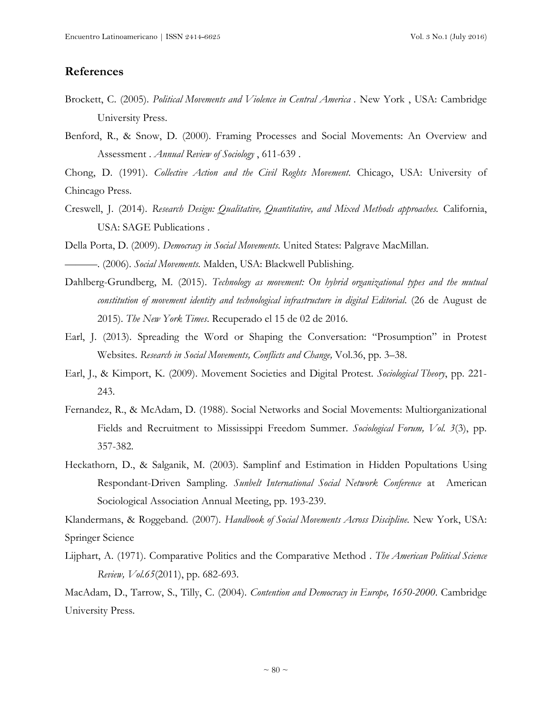## **References**

- Brockett, C. (2005). *Political Movements and Violence in Central America .* New York , USA: Cambridge University Press.
- Benford, R., & Snow, D. (2000). Framing Processes and Social Movements: An Overview and Assessment . *Annual Review of Sociology* , 611-639 .

Chong, D. (1991). *Collective Action and the Civil Roghts Movement*. Chicago, USA: University of Chincago Press.

Creswell, J. (2014). *Research Design: Qualitative, Quantitative, and Mixed Methods approaches.* California, USA: SAGE Publications .

Della Porta, D. (2009). *Democracy in Social Movements*. United States: Palgrave MacMillan.

———. (2006). *Social Movements.* Malden, USA: Blackwell Publishing.

- Dahlberg-Grundberg, M. (2015). *Technology as movement: On hybrid organizational types and the mutual constitution of movement identity and technological infrastructure in digital Editorial*. (26 de August de 2015). *The New York Times*. Recuperado el 15 de 02 de 2016.
- Earl, J. (2013). Spreading the Word or Shaping the Conversation: "Prosumption" in Protest Websites. *Research in Social Movements, Conflicts and Change,* Vol.36, pp. 3–38.
- Earl, J., & Kimport, K. (2009). Movement Societies and Digital Protest. *Sociological Theory*, pp. 221- 243.
- Fernandez, R., & McAdam, D. (1988). Social Networks and Social Movements: Multiorganizational Fields and Recruitment to Mississippi Freedom Summer. *Sociological Forum, Vol. 3*(3), pp. 357-382.
- Heckathorn, D., & Salganik, M. (2003). Samplinf and Estimation in Hidden Popultations Using Respondant-Driven Sampling. *Sunbelt International Social Network Conference* at American Sociological Association Annual Meeting, pp. 193-239.

Klandermans, & Roggeband. (2007). *Handbook of Social Movements Across Discipline.* New York, USA: Springer Science

Lijphart, A. (1971). Comparative Politics and the Comparative Method . *The American Political Science Review, Vol.65*(2011), pp. 682-693.

MacAdam, D., Tarrow, S., Tilly, C. (2004). *Contention and Democracy in Europe, 1650-2000*. Cambridge University Press.